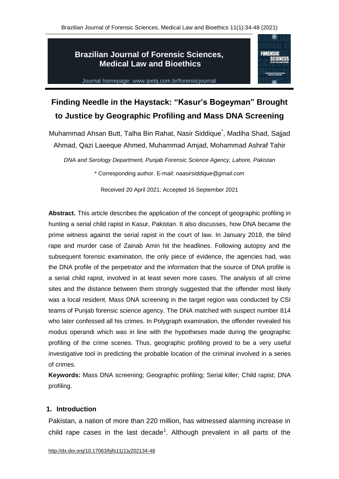**FORENSIC** 

# **Brazilian Journal of Forensic Sciences, Medical Law and Bioethics**



# **Finding Needle in the Haystack: "Kasur's Bogeyman" Brought to Justice by Geographic Profiling and Mass DNA Screening**

Muhammad Ahsan Butt, Talha Bin Rahat, Nasir Siddique<sup>\*</sup>, Madiha Shad, Sajjad Ahmad, Qazi Laeeque Ahmed, Muhammad Amjad, Mohammad Ashraf Tahir

*DNA and Serology Department, Punjab Forensic Science Agency, Lahore, Pakistan* \* Corresponding author. E-mail: *naasirsiddique@gmail.com*

Received 20 April 2021; Accepted 16 September 2021

**Abstract.** This article describes the application of the concept of geographic profiling in hunting a serial child rapist in Kasur, Pakistan. It also discusses, how DNA became the prime witness against the serial rapist in the court of law. In January 2018, the blind rape and murder case of Zainab Amin hit the headlines. Following autopsy and the subsequent forensic examination, the only piece of evidence, the agencies had, was the DNA profile of the perpetrator and the information that the source of DNA profile is a serial child rapist, involved in at least seven more cases. The analysis of all crime sites and the distance between them strongly suggested that the offender most likely was a local resident. Mass DNA screening in the target region was conducted by CSI teams of Punjab forensic science agency. The DNA matched with suspect number 814 who later confessed all his crimes. In Polygraph examination, the offender revealed his modus operandi which was in line with the hypotheses made during the geographic profiling of the crime scenes. Thus, geographic profiling proved to be a very useful investigative tool in predicting the probable location of the criminal involved in a series of crimes.

**Keywords:** Mass DNA screening; Geographic profiling; Serial killer; Child rapist; DNA profiling.

#### **1. Introduction**

Pakistan, a nation of more than 220 million, has witnessed alarming increase in child rape cases in the last decade<sup>1</sup>. Although prevalent in all parts of the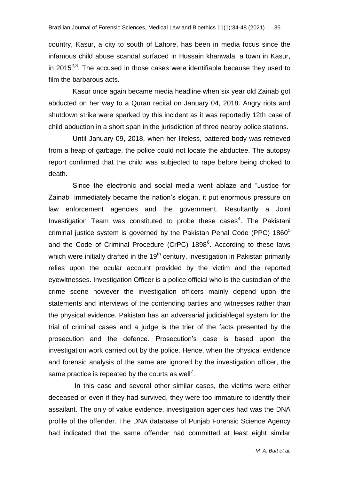country, Kasur, a city to south of Lahore, has been in media focus since the infamous child abuse scandal surfaced in Hussain khanwala, a town in Kasur, in 2015 $2^{2,3}$ . The accused in those cases were identifiable because they used to film the barbarous acts.

Kasur once again became media headline when six year old Zainab got abducted on her way to a Quran recital on January 04, 2018. Angry riots and shutdown strike were sparked by this incident as it was reportedly 12th case of child abduction in a short span in the jurisdiction of three nearby police stations.

Until January 09, 2018, when her lifeless, battered body was retrieved from a heap of garbage, the police could not locate the abductee. The autopsy report confirmed that the child was subjected to rape before being choked to death.

Since the electronic and social media went ablaze and "Justice for Zainab" immediately became the nation's slogan, it put enormous pressure on law enforcement agencies and the government. Resultantly a Joint Investigation Team was constituted to probe these cases<sup>4</sup>. The Pakistani criminal justice system is governed by the Pakistan Penal Code (PPC) 1860<sup>5</sup> and the Code of Criminal Procedure (CrPC)  $1898^6$ . According to these laws which were initially drafted in the  $19<sup>th</sup>$  century, investigation in Pakistan primarily relies upon the ocular account provided by the victim and the reported eyewitnesses. Investigation Officer is a police official who is the custodian of the crime scene however the investigation officers mainly depend upon the statements and interviews of the contending parties and witnesses rather than the physical evidence. Pakistan has an adversarial judicial/legal system for the trial of criminal cases and a judge is the trier of the facts presented by the prosecution and the defence. Prosecution"s case is based upon the investigation work carried out by the police. Hence, when the physical evidence and forensic analysis of the same are ignored by the investigation officer, the same practice is repeated by the courts as well<sup>7</sup>.

In this case and several other similar cases, the victims were either deceased or even if they had survived, they were too immature to identify their assailant. The only of value evidence, investigation agencies had was the DNA profile of the offender. The DNA database of Punjab Forensic Science Agency had indicated that the same offender had committed at least eight similar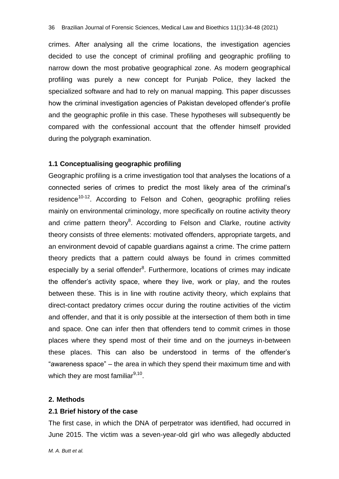crimes. After analysing all the crime locations, the investigation agencies decided to use the concept of criminal profiling and geographic profiling to narrow down the most probative geographical zone. As modern geographical profiling was purely a new concept for Punjab Police, they lacked the specialized software and had to rely on manual mapping. This paper discusses how the criminal investigation agencies of Pakistan developed offender"s profile and the geographic profile in this case. These hypotheses will subsequently be compared with the confessional account that the offender himself provided during the polygraph examination.

#### **1.1 Conceptualising geographic profiling**

Geographic profiling is a crime investigation tool that analyses the locations of a connected series of crimes to predict the most likely area of the criminal"s residence<sup>10-12</sup>. According to Felson and Cohen, geographic profiling relies mainly on environmental criminology, more specifically on routine activity theory and crime pattern theory<sup>8</sup>. According to Felson and Clarke, routine activity theory consists of three elements: motivated offenders, appropriate targets, and an environment devoid of capable guardians against a crime. The crime pattern theory predicts that a pattern could always be found in crimes committed especially by a serial offender<sup>8</sup>. Furthermore, locations of crimes may indicate the offender"s activity space, where they live, work or play, and the routes between these. This is in line with routine activity theory, which explains that direct-contact predatory crimes occur during the routine activities of the victim and offender, and that it is only possible at the intersection of them both in time and space. One can infer then that offenders tend to commit crimes in those places where they spend most of their time and on the journeys in-between these places. This can also be understood in terms of the offender"s "awareness space" – the area in which they spend their maximum time and with which they are most familiar<sup>9,10</sup>.

#### **2. Methods**

## **2.1 Brief history of the case**

The first case, in which the DNA of perpetrator was identified, had occurred in June 2015. The victim was a seven-year-old girl who was allegedly abducted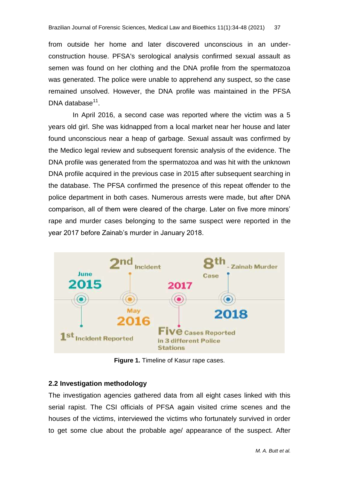from outside her home and later discovered unconscious in an underconstruction house. PFSA's serological analysis confirmed sexual assault as semen was found on her clothing and the DNA profile from the spermatozoa was generated. The police were unable to apprehend any suspect, so the case remained unsolved. However, the DNA profile was maintained in the PFSA DNA database<sup>11</sup>.

In April 2016, a second case was reported where the victim was a 5 years old girl. She was kidnapped from a local market near her house and later found unconscious near a heap of garbage. Sexual assault was confirmed by the Medico legal review and subsequent forensic analysis of the evidence. The DNA profile was generated from the spermatozoa and was hit with the unknown DNA profile acquired in the previous case in 2015 after subsequent searching in the database. The PFSA confirmed the presence of this repeat offender to the police department in both cases. Numerous arrests were made, but after DNA comparison, all of them were cleared of the charge. Later on five more minors" rape and murder cases belonging to the same suspect were reported in the year 2017 before Zainab's murder in January 2018.



**Figure 1.** Timeline of Kasur rape cases.

# **2.2 Investigation methodology**

The investigation agencies gathered data from all eight cases linked with this serial rapist. The CSI officials of PFSA again visited crime scenes and the houses of the victims, interviewed the victims who fortunately survived in order to get some clue about the probable age/ appearance of the suspect. After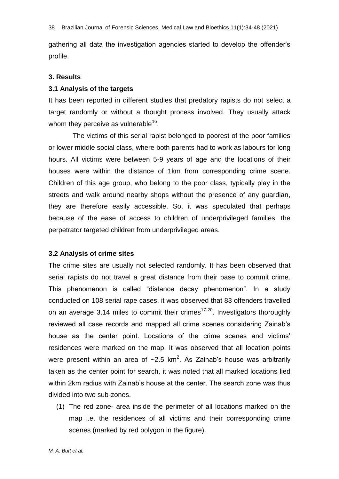gathering all data the investigation agencies started to develop the offender"s profile.

#### **3. Results**

#### **3.1 Analysis of the targets**

It has been reported in different studies that predatory rapists do not select a target randomly or without a thought process involved. They usually attack whom they perceive as vulnerable $^{16}$ .

The victims of this serial rapist belonged to poorest of the poor families or lower middle social class, where both parents had to work as labours for long hours. All victims were between 5-9 years of age and the locations of their houses were within the distance of 1km from corresponding crime scene. Children of this age group, who belong to the poor class, typically play in the streets and walk around nearby shops without the presence of any guardian, they are therefore easily accessible. So, it was speculated that perhaps because of the ease of access to children of underprivileged families, the perpetrator targeted children from underprivileged areas.

#### **3.2 Analysis of crime sites**

The crime sites are usually not selected randomly. It has been observed that serial rapists do not travel a great distance from their base to commit crime. This phenomenon is called "distance decay phenomenon". In a study conducted on 108 serial rape cases, it was observed that 83 offenders travelled on an average 3.14 miles to commit their crimes<sup>17-20</sup>. Investigators thoroughly reviewed all case records and mapped all crime scenes considering Zainab"s house as the center point. Locations of the crime scenes and victims' residences were marked on the map. It was observed that all location points were present within an area of  $\sim$ 2.5 km<sup>2</sup>. As Zainab's house was arbitrarily taken as the center point for search, it was noted that all marked locations lied within 2km radius with Zainab's house at the center. The search zone was thus divided into two sub-zones.

(1) The red zone- area inside the perimeter of all locations marked on the map i.e. the residences of all victims and their corresponding crime scenes (marked by red polygon in the figure).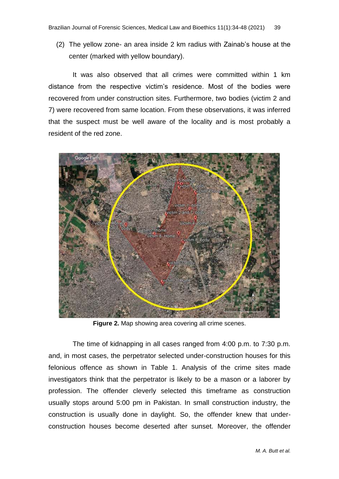(2) The yellow zone- an area inside 2 km radius with Zainab"s house at the center (marked with yellow boundary).

It was also observed that all crimes were committed within 1 km distance from the respective victim"s residence. Most of the bodies were recovered from under construction sites. Furthermore, two bodies (victim 2 and 7) were recovered from same location. From these observations, it was inferred that the suspect must be well aware of the locality and is most probably a resident of the red zone.



**Figure 2.** Map showing area covering all crime scenes.

The time of kidnapping in all cases ranged from 4:00 p.m. to 7:30 p.m. and, in most cases, the perpetrator selected under-construction houses for this felonious offence as shown in Table 1. Analysis of the crime sites made investigators think that the perpetrator is likely to be a mason or a laborer by profession. The offender cleverly selected this timeframe as construction usually stops around 5:00 pm in Pakistan. In small construction industry, the construction is usually done in daylight. So, the offender knew that underconstruction houses become deserted after sunset. Moreover, the offender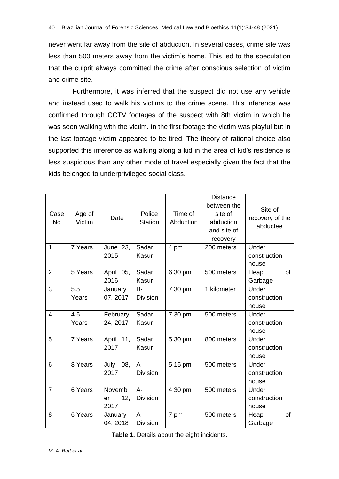never went far away from the site of abduction. In several cases, crime site was less than 500 meters away from the victim"s home. This led to the speculation that the culprit always committed the crime after conscious selection of victim and crime site.

Furthermore, it was inferred that the suspect did not use any vehicle and instead used to walk his victims to the crime scene. This inference was confirmed through CCTV footages of the suspect with 8th victim in which he was seen walking with the victim. In the first footage the victim was playful but in the last footage victim appeared to be tired. The theory of rational choice also supported this inference as walking along a kid in the area of kid's residence is less suspicious than any other mode of travel especially given the fact that the kids belonged to underprivileged social class.

| Case<br><b>No</b> | Age of<br>Victim | Date                        | Police<br><b>Station</b>     | Time of<br>Abduction | <b>Distance</b><br>between the<br>site of<br>abduction<br>and site of<br>recovery | Site of<br>recovery of the<br>abductee |
|-------------------|------------------|-----------------------------|------------------------------|----------------------|-----------------------------------------------------------------------------------|----------------------------------------|
| $\mathbf{1}$      | 7 Years          | June 23,<br>2015            | Sadar<br>Kasur               | 4 pm                 | 200 meters                                                                        | Under<br>construction<br>house         |
| $\overline{2}$    | 5 Years          | April 05,<br>2016           | Sadar<br>Kasur               | 6:30 pm              | 500 meters                                                                        | of<br>Heap<br>Garbage                  |
| 3                 | 5.5<br>Years     | January<br>07, 2017         | <b>B-</b><br><b>Division</b> | 7:30 pm              | 1 kilometer                                                                       | Under<br>construction<br>house         |
| $\overline{4}$    | 4.5<br>Years     | February<br>24, 2017        | Sadar<br>Kasur               | 7:30 pm              | 500 meters                                                                        | Under<br>construction<br>house         |
| 5                 | 7 Years          | April $11$ ,<br>2017        | Sadar<br>Kasur               | 5:30 pm              | 800 meters                                                                        | Under<br>construction<br>house         |
| 6                 | 8 Years          | 08,<br>July<br>2017         | $A -$<br><b>Division</b>     | 5:15 pm              | 500 meters                                                                        | Under<br>construction<br>house         |
| $\overline{7}$    | 6 Years          | Novemb<br>12,<br>er<br>2017 | $A -$<br><b>Division</b>     | 4:30 pm              | 500 meters                                                                        | Under<br>construction<br>house         |
| 8                 | 6 Years          | January<br>04, 2018         | $A -$<br><b>Division</b>     | 7 pm                 | 500 meters                                                                        | of<br>Heap<br>Garbage                  |

**Table 1.** Details about the eight incidents.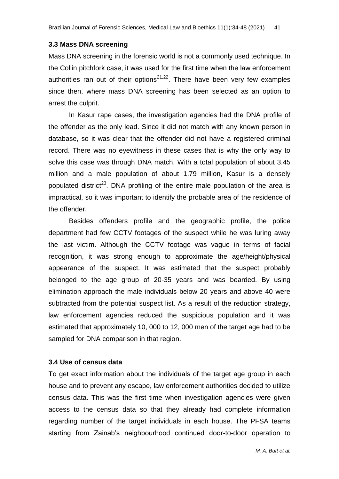#### **3.3 Mass DNA screening**

Mass DNA screening in the forensic world is not a commonly used technique. In the Collin pitchfork case, it was used for the first time when the law enforcement authorities ran out of their options<sup>21,22</sup>. There have been very few examples since then, where mass DNA screening has been selected as an option to arrest the culprit.

In Kasur rape cases, the investigation agencies had the DNA profile of the offender as the only lead. Since it did not match with any known person in database, so it was clear that the offender did not have a registered criminal record. There was no eyewitness in these cases that is why the only way to solve this case was through DNA match. With a total population of about 3.45 million and a male population of about 1.79 million, Kasur is a densely populated district<sup>23</sup>. DNA profiling of the entire male population of the area is impractical, so it was important to identify the probable area of the residence of the offender.

Besides offenders profile and the geographic profile, the police department had few CCTV footages of the suspect while he was luring away the last victim. Although the CCTV footage was vague in terms of facial recognition, it was strong enough to approximate the age/height/physical appearance of the suspect. It was estimated that the suspect probably belonged to the age group of 20-35 years and was bearded. By using elimination approach the male individuals below 20 years and above 40 were subtracted from the potential suspect list. As a result of the reduction strategy, law enforcement agencies reduced the suspicious population and it was estimated that approximately 10, 000 to 12, 000 men of the target age had to be sampled for DNA comparison in that region.

#### **3.4 Use of census data**

To get exact information about the individuals of the target age group in each house and to prevent any escape, law enforcement authorities decided to utilize census data. This was the first time when investigation agencies were given access to the census data so that they already had complete information regarding number of the target individuals in each house. The PFSA teams starting from Zainab's neighbourhood continued door-to-door operation to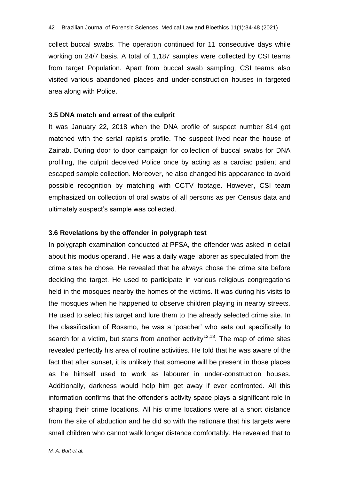collect buccal swabs. The operation continued for 11 consecutive days while working on 24/7 basis. A total of 1,187 samples were collected by CSI teams from target Population. Apart from buccal swab sampling, CSI teams also visited various abandoned places and under-construction houses in targeted area along with Police.

#### **3.5 DNA match and arrest of the culprit**

It was January 22, 2018 when the DNA profile of suspect number 814 got matched with the serial rapist"s profile. The suspect lived near the house of Zainab. During door to door campaign for collection of buccal swabs for DNA profiling, the culprit deceived Police once by acting as a cardiac patient and escaped sample collection. Moreover, he also changed his appearance to avoid possible recognition by matching with CCTV footage. However, CSI team emphasized on collection of oral swabs of all persons as per Census data and ultimately suspect"s sample was collected.

#### **3.6 Revelations by the offender in polygraph test**

In polygraph examination conducted at PFSA, the offender was asked in detail about his modus operandi. He was a daily wage laborer as speculated from the crime sites he chose. He revealed that he always chose the crime site before deciding the target. He used to participate in various religious congregations held in the mosques nearby the homes of the victims. It was during his visits to the mosques when he happened to observe children playing in nearby streets. He used to select his target and lure them to the already selected crime site. In the classification of Rossmo, he was a "poacher" who sets out specifically to search for a victim, but starts from another activity<sup>12,13</sup>. The map of crime sites revealed perfectly his area of routine activities. He told that he was aware of the fact that after sunset, it is unlikely that someone will be present in those places as he himself used to work as labourer in under-construction houses. Additionally, darkness would help him get away if ever confronted. All this information confirms that the offender"s activity space plays a significant role in shaping their crime locations. All his crime locations were at a short distance from the site of abduction and he did so with the rationale that his targets were small children who cannot walk longer distance comfortably. He revealed that to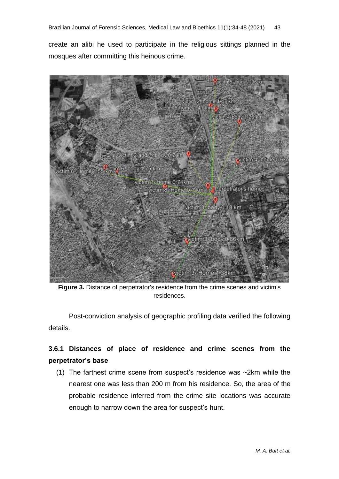create an alibi he used to participate in the religious sittings planned in the mosques after committing this heinous crime.



**Figure 3.** Distance of perpetrator's residence from the crime scenes and victim's residences.

Post-conviction analysis of geographic profiling data verified the following details.

# **3.6.1 Distances of place of residence and crime scenes from the perpetrator's base**

(1) The farthest crime scene from suspect's residence was  $\sim$ 2km while the nearest one was less than 200 m from his residence. So, the area of the probable residence inferred from the crime site locations was accurate enough to narrow down the area for suspect's hunt.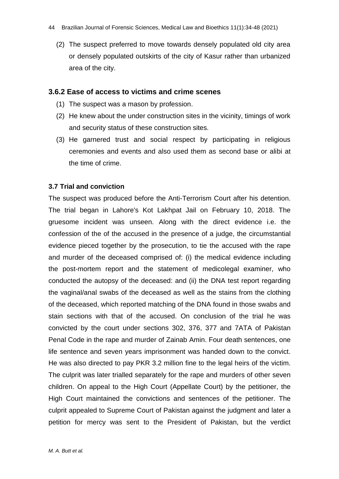(2) The suspect preferred to move towards densely populated old city area or densely populated outskirts of the city of Kasur rather than urbanized area of the city.

#### **3.6.2 Ease of access to victims and crime scenes**

- (1) The suspect was a mason by profession.
- (2) He knew about the under construction sites in the vicinity, timings of work and security status of these construction sites.
- (3) He garnered trust and social respect by participating in religious ceremonies and events and also used them as second base or alibi at the time of crime.

#### **3.7 Trial and conviction**

The suspect was produced before the Anti-Terrorism Court after his detention. The trial began in Lahore's Kot Lakhpat Jail on February 10, 2018. The gruesome incident was unseen. Along with the direct evidence i.e. the confession of the of the accused in the presence of a judge, the circumstantial evidence pieced together by the prosecution, to tie the accused with the rape and murder of the deceased comprised of: (i) the medical evidence including the post-mortem report and the statement of medicolegal examiner, who conducted the autopsy of the deceased: and (ii) the DNA test report regarding the vaginal/anal swabs of the deceased as well as the stains from the clothing of the deceased, which reported matching of the DNA found in those swabs and stain sections with that of the accused. On conclusion of the trial he was convicted by the court under sections 302, 376, 377 and 7ATA of Pakistan Penal Code in the rape and murder of Zainab Amin. Four death sentences, one life sentence and seven years imprisonment was handed down to the convict. He was also directed to pay PKR 3.2 million fine to the legal heirs of the victim. The culprit was later trialled separately for the rape and murders of other seven children. On appeal to the High Court (Appellate Court) by the petitioner, the High Court maintained the convictions and sentences of the petitioner. The culprit appealed to Supreme Court of Pakistan against the judgment and later a petition for mercy was sent to the President of Pakistan, but the verdict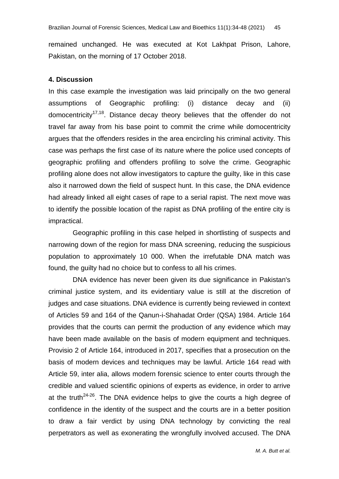remained unchanged. He was executed at Kot Lakhpat Prison, Lahore, Pakistan, on the morning of 17 October 2018.

#### **4. Discussion**

In this case example the investigation was laid principally on the two general assumptions of Geographic profiling: (i) distance decay and (ii) domocentricity<sup>17,18</sup>. Distance decay theory believes that the offender do not travel far away from his base point to commit the crime while domocentricity argues that the offenders resides in the area encircling his criminal activity. This case was perhaps the first case of its nature where the police used concepts of geographic profiling and offenders profiling to solve the crime. Geographic profiling alone does not allow investigators to capture the guilty, like in this case also it narrowed down the field of suspect hunt. In this case, the DNA evidence had already linked all eight cases of rape to a serial rapist. The next move was to identify the possible location of the rapist as DNA profiling of the entire city is impractical.

Geographic profiling in this case helped in shortlisting of suspects and narrowing down of the region for mass DNA screening, reducing the suspicious population to approximately 10 000. When the irrefutable DNA match was found, the guilty had no choice but to confess to all his crimes.

DNA evidence has never been given its due significance in Pakistan's criminal justice system, and its evidentiary value is still at the discretion of judges and case situations. DNA evidence is currently being reviewed in context of Articles 59 and 164 of the Qanun-i-Shahadat Order (QSA) 1984. Article 164 provides that the courts can permit the production of any evidence which may have been made available on the basis of modern equipment and techniques. Provisio 2 of Article 164, introduced in 2017, specifies that a prosecution on the basis of modern devices and techniques may be lawful. Article 164 read with Article 59, inter alia, allows modern forensic science to enter courts through the credible and valued scientific opinions of experts as evidence, in order to arrive at the truth<sup>24-26</sup>. The DNA evidence helps to give the courts a high degree of confidence in the identity of the suspect and the courts are in a better position to draw a fair verdict by using DNA technology by convicting the real perpetrators as well as exonerating the wrongfully involved accused. The DNA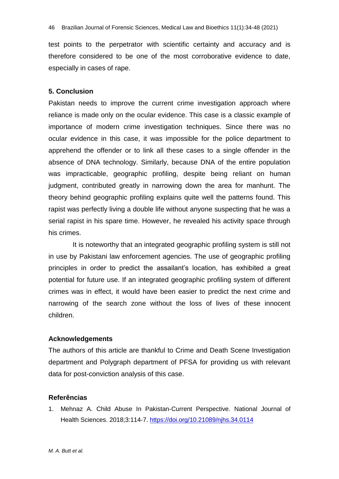test points to the perpetrator with scientific certainty and accuracy and is therefore considered to be one of the most corroborative evidence to date, especially in cases of rape.

#### **5. Conclusion**

Pakistan needs to improve the current crime investigation approach where reliance is made only on the ocular evidence. This case is a classic example of importance of modern crime investigation techniques. Since there was no ocular evidence in this case, it was impossible for the police department to apprehend the offender or to link all these cases to a single offender in the absence of DNA technology. Similarly, because DNA of the entire population was impracticable, geographic profiling, despite being reliant on human judgment, contributed greatly in narrowing down the area for manhunt. The theory behind geographic profiling explains quite well the patterns found. This rapist was perfectly living a double life without anyone suspecting that he was a serial rapist in his spare time. However, he revealed his activity space through his crimes.

It is noteworthy that an integrated geographic profiling system is still not in use by Pakistani law enforcement agencies. The use of geographic profiling principles in order to predict the assailant"s location, has exhibited a great potential for future use. If an integrated geographic profiling system of different crimes was in effect, it would have been easier to predict the next crime and narrowing of the search zone without the loss of lives of these innocent children.

## **Acknowledgements**

The authors of this article are thankful to Crime and Death Scene Investigation department and Polygraph department of PFSA for providing us with relevant data for post-conviction analysis of this case.

## **Referências**

1. Mehnaz A. Child Abuse In Pakistan-Current Perspective. National Journal of Health Sciences. 2018;3:114-7. <https://doi.org/10.21089/njhs.34.0114>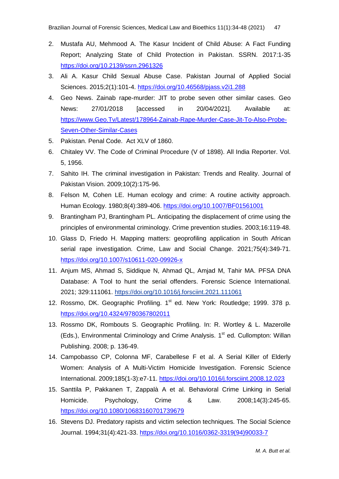- 2. Mustafa AU, Mehmood A. The Kasur Incident of Child Abuse: A Fact Funding Report; Analyzing State of Child Protection in Pakistan. SSRN. 2017:1-35 <https://doi.org/10.2139/ssrn.2961326>
- 3. Ali A. Kasur Child Sexual Abuse Case. Pakistan Journal of Applied Social Sciences. 2015;2(1):101-4. <https://doi.org/10.46568/pjass.v2i1.288>
- 4. Geo News. Zainab rape-murder: JIT to probe seven other similar cases. Geo News: 27/01/2018 [accessed in 20/04/2021]. Available at: [https://www.Geo.Tv/Latest/178964-Zainab-Rape-Murder-Case-Jit-To-Also-Probe-](https://www.geo.tv/Latest/178964-Zainab-Rape-Murder-Case-Jit-To-Also-Probe-Seven-Other-Similar-Cases)[Seven-Other-Similar-Cases](https://www.geo.tv/Latest/178964-Zainab-Rape-Murder-Case-Jit-To-Also-Probe-Seven-Other-Similar-Cases)
- 5. Pakistan. Penal Code. Act XLV of 1860.
- 6. Chitaley VV. The Code of Criminal Procedure (V of 1898). All India Reporter. Vol. 5, 1956.
- 7. Sahito IH. The criminal investigation in Pakistan: Trends and Reality. Journal of Pakistan Vision. 2009;10(2):175-96.
- 8. Felson M, Cohen LE. Human ecology and crime: A routine activity approach. Human Ecology. 1980;8(4):389-406. <https://doi.org/10.1007/BF01561001>
- 9. Brantingham PJ, Brantingham PL. Anticipating the displacement of crime using the principles of environmental criminology. Crime prevention studies. 2003;16:119-48.
- 10. Glass D, Friedo H. Mapping matters: geoprofiling application in South African serial rape investigation. Crime, Law and Social Change. 2021;75(4):349-71. <https://doi.org/10.1007/s10611-020-09926-x>
- 11. Anjum MS, Ahmad S, Siddique N, Ahmad QL, Amjad M, Tahir MA. PFSA DNA Database: A Tool to hunt the serial offenders. Forensic Science International. 2021; 329:111061. <https://doi.org/10.1016/j.forsciint.2021.111061>
- 12. Rossmo, DK. Geographic Profiling. 1<sup>st</sup> ed. New York: Routledge; 1999. 378 p. <https://doi.org/10.4324/9780367802011>
- 13. Rossmo DK, Rombouts S. Geographic Profiling. In: R. Wortley & L. Mazerolle (Eds.), Environmental Criminology and Crime Analysis. 1<sup>st</sup> ed. Cullompton: Willan Publishing. 2008; p. 136-49.
- 14. Campobasso CP, Colonna MF, Carabellese F et al. A Serial Killer of Elderly Women: Analysis of A Multi-Victim Homicide Investigation. Forensic Science International. 2009;185(1-3):e7-11. <https://doi.org/10.1016/j.forsciint.2008.12.023>
- 15. Santtila P, Pakkanen T, Zappalà A et al. Behavioral Crime Linking in Serial Homicide. Psychology, Crime & Law. 2008;14(3):245-65. <https://doi.org/10.1080/10683160701739679>
- 16. Stevens DJ. Predatory rapists and victim selection techniques. The Social Science Journal. 1994;31(4):421-33. [https://doi.org/10.1016/0362-3319\(94\)90033-7](https://doi.org/10.1016/0362-3319(94)90033-7)